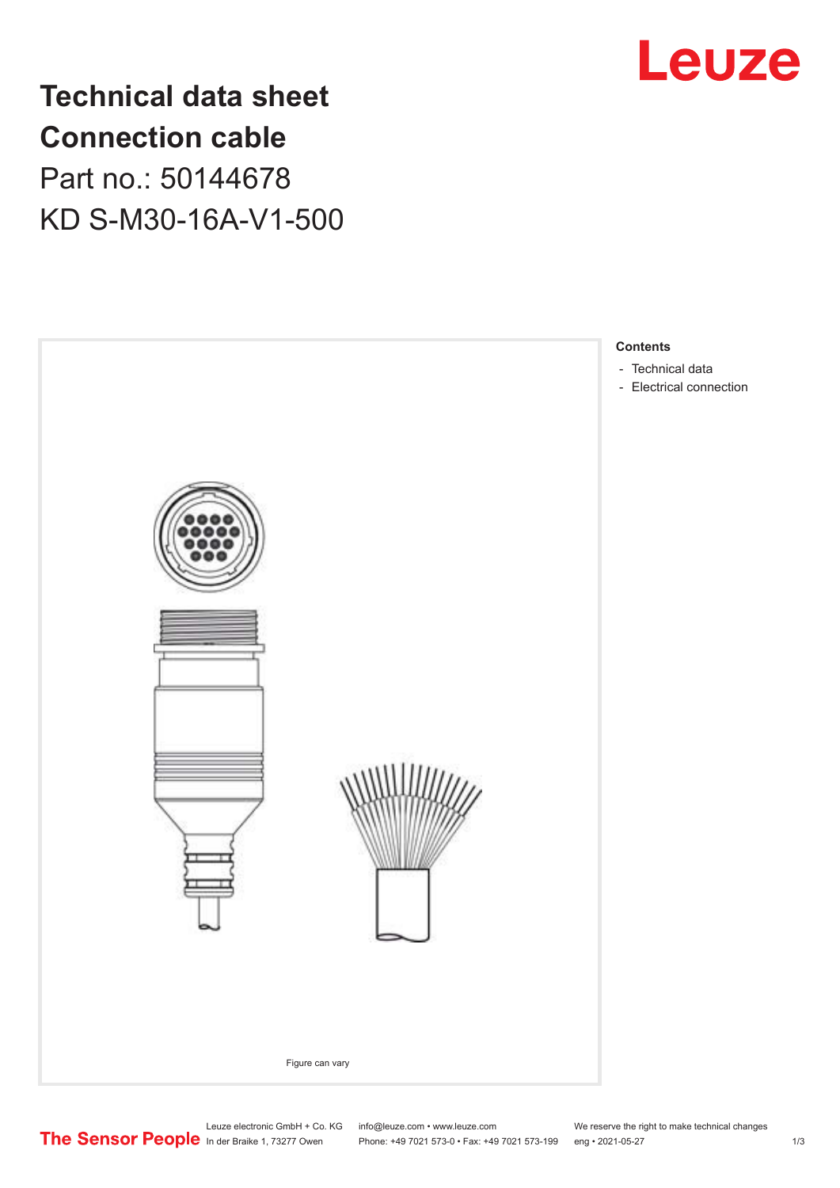

## **Technical data sheet Connection cable** Part no.: 50144678

KD S-M30-16A-V1-500

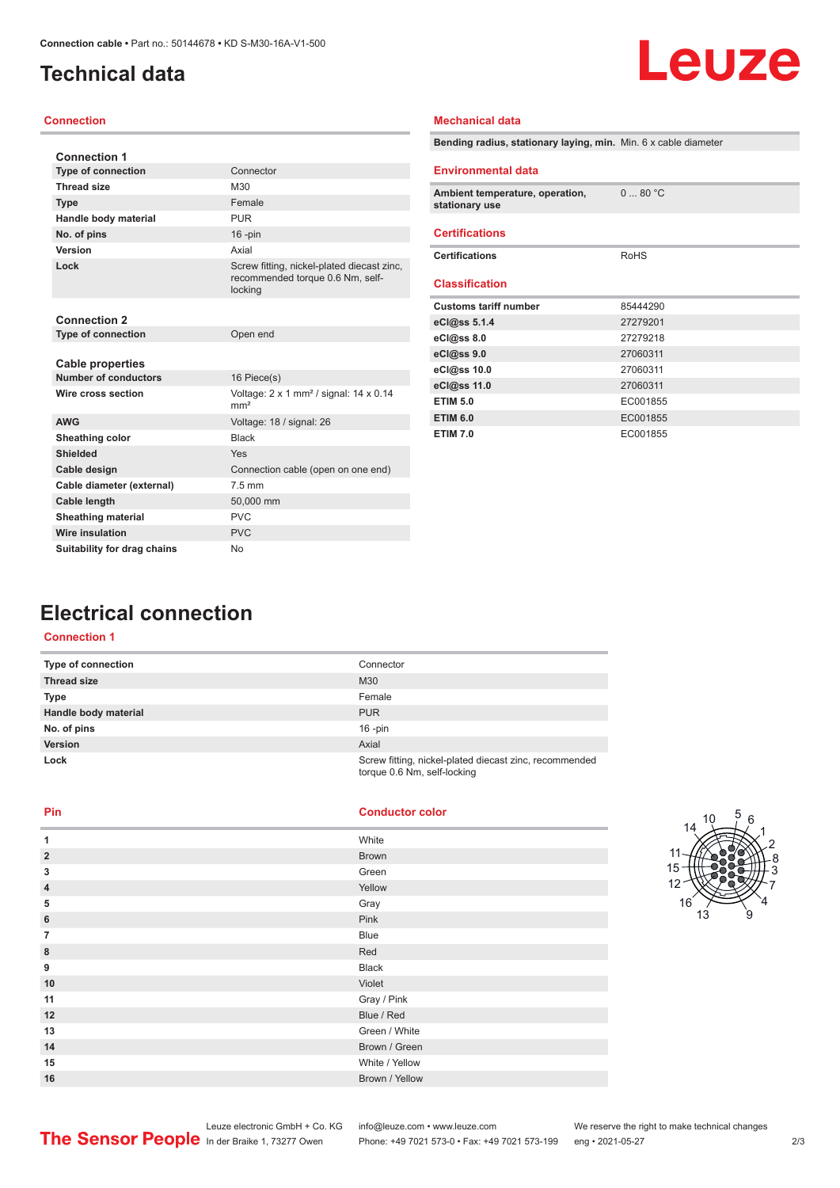## <span id="page-1-0"></span>**Technical data**

# Leuze

#### **Connection**

| <b>Connection 1</b>                      |                                                                                           |
|------------------------------------------|-------------------------------------------------------------------------------------------|
| <b>Type of connection</b>                | Connector                                                                                 |
| <b>Thread size</b>                       | M30                                                                                       |
| <b>Type</b>                              | Female                                                                                    |
| Handle body material                     | <b>PUR</b>                                                                                |
| No. of pins                              | $16$ -pin                                                                                 |
| Version                                  | Axial                                                                                     |
| Lock                                     | Screw fitting, nickel-plated diecast zinc,<br>recommended torque 0.6 Nm, self-<br>locking |
| <b>Connection 2</b>                      |                                                                                           |
| <b>Type of connection</b>                | Open end                                                                                  |
| Cable properties<br>Number of conductors | 16 Piece(s)                                                                               |
| Wire cross section                       | Voltage: $2 \times 1$ mm <sup>2</sup> / signal: $14 \times 0.14$<br>mm <sup>2</sup>       |
| <b>AWG</b>                               | Voltage: 18 / signal: 26                                                                  |
| Sheathing color                          | <b>Black</b>                                                                              |
| Shielded                                 | Yes                                                                                       |
| Cable design                             | Connection cable (open on one end)                                                        |
| Cable diameter (external)                | 7.5 mm                                                                                    |
| Cable length                             | 50,000 mm                                                                                 |
| <b>Sheathing material</b>                | <b>PVC</b>                                                                                |
| <b>Wire insulation</b>                   | <b>PVC</b>                                                                                |
| Suitability for drag chains              | <b>No</b>                                                                                 |

| Bending radius, stationary laying, min. Min. 6 x cable diameter |          |
|-----------------------------------------------------------------|----------|
| <b>Environmental data</b>                                       |          |
| Ambient temperature, operation,<br>stationary use               | 080 °C   |
| <b>Certifications</b>                                           |          |
| <b>Certifications</b>                                           | RoHS     |
| <b>Classification</b>                                           |          |
| <b>Customs tariff number</b>                                    | 85444290 |
| eCl@ss 5.1.4                                                    | 27279201 |
| eCl@ss 8.0                                                      | 27279218 |
| eCl@ss 9.0                                                      | 27060311 |
| eCl@ss 10.0                                                     | 27060311 |
| eCl@ss 11.0                                                     | 27060311 |
| <b>ETIM 5.0</b>                                                 | EC001855 |
| <b>ETIM 6.0</b>                                                 | EC001855 |
| <b>ETIM 7.0</b>                                                 | EC001855 |

**Mechanical data**

## **Electrical connection**

### **Connection 1**

| <b>Type of connection</b> | Connector                                                                             |
|---------------------------|---------------------------------------------------------------------------------------|
| <b>Thread size</b>        | M30                                                                                   |
| <b>Type</b>               | Female                                                                                |
| Handle body material      | <b>PUR</b>                                                                            |
| No. of pins               | $16$ -pin                                                                             |
| <b>Version</b>            | Axial                                                                                 |
| Lock                      | Screw fitting, nickel-plated diecast zinc, recommended<br>torque 0.6 Nm, self-locking |

**Pin Conductor color**

| 1                       | White          |
|-------------------------|----------------|
| $\overline{\mathbf{c}}$ | <b>Brown</b>   |
| 3                       | Green          |
| 4                       | Yellow         |
| 5                       | Gray           |
| 6                       | Pink           |
| $\overline{7}$          | <b>Blue</b>    |
| 8                       | Red            |
| 9                       | <b>Black</b>   |
| 10                      | Violet         |
| 11                      | Gray / Pink    |
| 12                      | Blue / Red     |
| 13                      | Green / White  |
| 14                      | Brown / Green  |
| 15                      | White / Yellow |
| 16                      | Brown / Yellow |



Phone: +49 7021 573-0 • Fax: +49 7021 573-199 eng • 2021-05-27 273 2/3